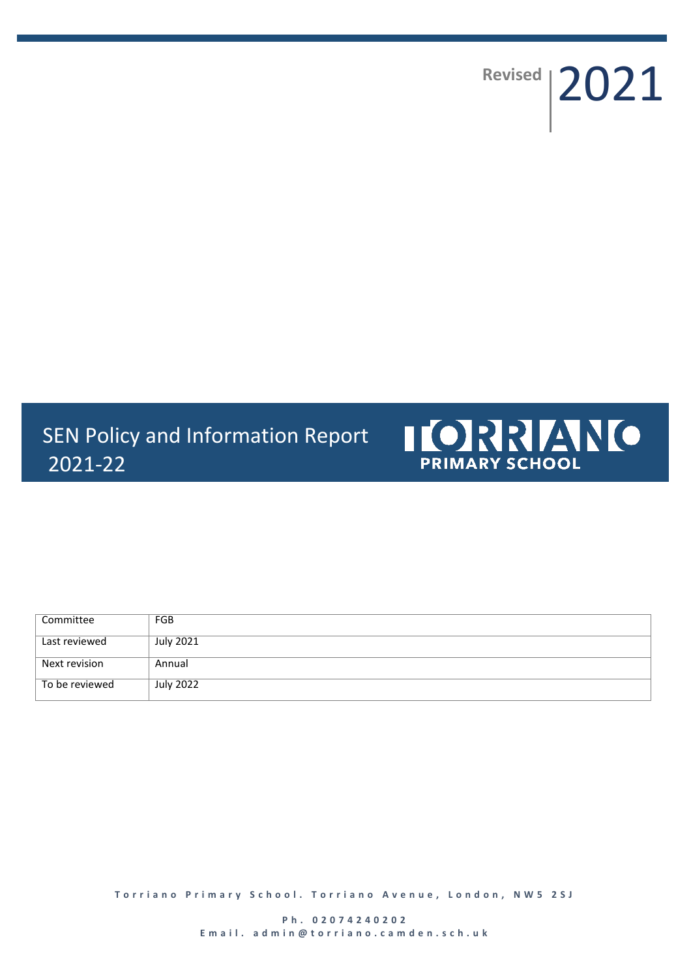Revised | 2021

SEN Policy and Information Report 2021-22



| Committee      | <b>FGB</b> |
|----------------|------------|
| Last reviewed  | July 2021  |
| Next revision  | Annual     |
| To be reviewed | July 2022  |

**Torriano Primary School. Torriano Avenue, London, NW5 2SJ**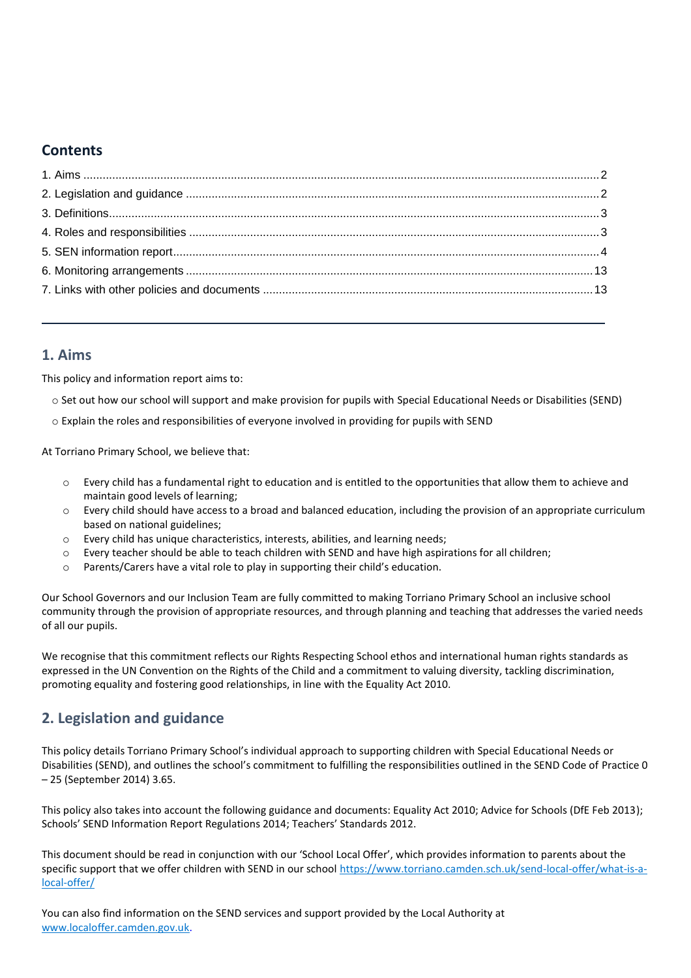# **Contents**

## <span id="page-1-0"></span>**1. Aims**

This policy and information report aims to:

- o Set out how our school will support and make provision for pupils with Special Educational Needs or Disabilities (SEND)
- o Explain the roles and responsibilities of everyone involved in providing for pupils with SEND

At Torriano Primary School, we believe that:

- $\circ$  Every child has a fundamental right to education and is entitled to the opportunities that allow them to achieve and maintain good levels of learning;
- o Every child should have access to a broad and balanced education, including the provision of an appropriate curriculum based on national guidelines;
- o Every child has unique characteristics, interests, abilities, and learning needs;
- o Every teacher should be able to teach children with SEND and have high aspirations for all children;
- o Parents/Carers have a vital role to play in supporting their child's education.

Our School Governors and our Inclusion Team are fully committed to making Torriano Primary School an inclusive school community through the provision of appropriate resources, and through planning and teaching that addresses the varied needs of all our pupils.

We recognise that this commitment reflects our Rights Respecting School ethos and international human rights standards as expressed in the UN Convention on the Rights of the Child and a commitment to valuing diversity, tackling discrimination, promoting equality and fostering good relationships, in line with the Equality Act 2010.

# <span id="page-1-1"></span>**2. Legislation and guidance**

This policy details Torriano Primary School's individual approach to supporting children with Special Educational Needs or Disabilities (SEND), and outlines the school's commitment to fulfilling the responsibilities outlined in the SEND Code of Practice 0 – 25 (September 2014) 3.65.

This policy also takes into account the following guidance and documents: Equality Act 2010; Advice for Schools (DfE Feb 2013); Schools' SEND Information Report Regulations 2014; Teachers' Standards 2012.

This document should be read in conjunction with our 'School Local Offer', which provides information to parents about the specific support that we offer children with SEND in our schoo[l https://www.torriano.camden.sch.uk/send-local-offer/what-is-a](https://www.torriano.camden.sch.uk/send-local-offer/what-is-a-local-offer/)[local-offer/](https://www.torriano.camden.sch.uk/send-local-offer/what-is-a-local-offer/)

You can also find information on the SEND services and support provided by the Local Authority at [www.localoffer.camden.gov.uk.](http://www.localoffer.camden.gov.uk/)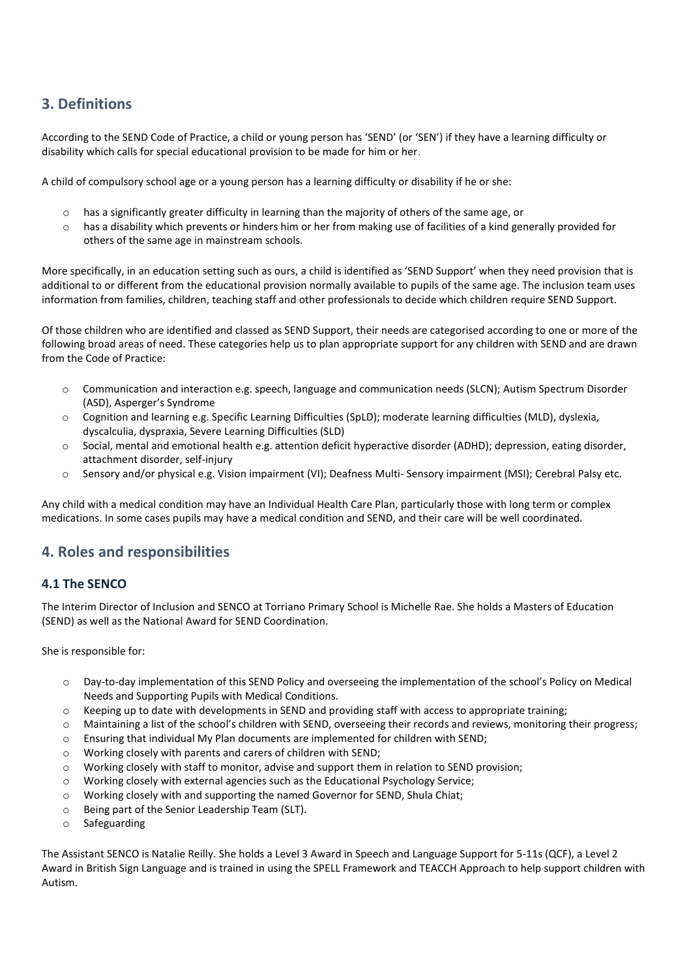# <span id="page-2-0"></span>**3. Definitions**

According to the SEND Code of Practice, a child or young person has 'SEND' (or 'SEN') if they have a learning difficulty or disability which calls for special educational provision to be made for him or her.

A child of compulsory school age or a young person has a learning difficulty or disability if he or she:

- $\circ$  has a significantly greater difficulty in learning than the majority of others of the same age, or
- $\circ$  has a disability which prevents or hinders him or her from making use of facilities of a kind generally provided for others of the same age in mainstream schools.

More specifically, in an education setting such as ours, a child is identified as 'SEND Support' when they need provision that is additional to or different from the educational provision normally available to pupils of the same age. The inclusion team uses information from families, children, teaching staff and other professionals to decide which children require SEND Support.

Of those children who are identified and classed as SEND Support, their needs are categorised according to one or more of the following broad areas of need. These categories help us to plan appropriate support for any children with SEND and are drawn from the Code of Practice:

- o Communication and interaction e.g. speech, language and communication needs (SLCN); Autism Spectrum Disorder (ASD), Asperger's Syndrome
- o Cognition and learning e.g. Specific Learning Difficulties (SpLD); moderate learning difficulties (MLD), dyslexia, dyscalculia, dyspraxia, Severe Learning Difficulties (SLD)
- o Social, mental and emotional health e.g. attention deficit hyperactive disorder (ADHD); depression, eating disorder, attachment disorder, self-injury
- o Sensory and/or physical e.g. Vision impairment (VI); Deafness Multi- Sensory impairment (MSI); Cerebral Palsy etc.

Any child with a medical condition may have an Individual Health Care Plan, particularly those with long term or complex medications. In some cases pupils may have a medical condition and SEND, and their care will be well coordinated.

# <span id="page-2-1"></span>**4. Roles and responsibilities**

## **4.1 The SENCO**

The Interim Director of Inclusion and SENCO at Torriano Primary School is Michelle Rae. She holds a Masters of Education (SEND) as well as the National Award for SEND Coordination.

She is responsible for:

- o Day-to-day implementation of this SEND Policy and overseeing the implementation of the school's Policy on Medical Needs and Supporting Pupils with Medical Conditions.
- $\circ$  Keeping up to date with developments in SEND and providing staff with access to appropriate training;
- o Maintaining a list of the school's children with SEND, overseeing their records and reviews, monitoring their progress;
- o Ensuring that individual My Plan documents are implemented for children with SEND;
- o Working closely with parents and carers of children with SEND;
- o Working closely with staff to monitor, advise and support them in relation to SEND provision;
- o Working closely with external agencies such as the Educational Psychology Service;
- o Working closely with and supporting the named Governor for SEND, Shula Chiat;
- o Being part of the Senior Leadership Team (SLT).
- o Safeguarding

The Assistant SENCO is Natalie Reilly. She holds a Level 3 Award in Speech and Language Support for 5-11s (QCF), a Level 2 Award in British Sign Language and is trained in using the SPELL Framework and TEACCH Approach to help support children with Autism.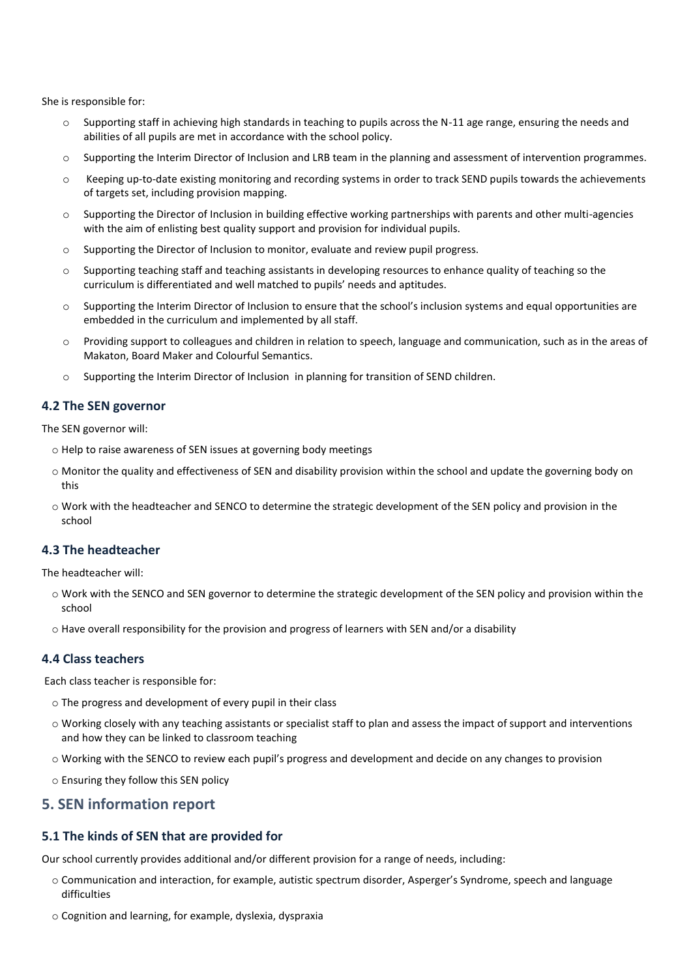She is responsible for:

- Supporting staff in achieving high standards in teaching to pupils across the N-11 age range, ensuring the needs and abilities of all pupils are met in accordance with the school policy.
- o Supporting the Interim Director of Inclusion and LRB team in the planning and assessment of intervention programmes.
- o Keeping up-to-date existing monitoring and recording systems in order to track SEND pupils towards the achievements of targets set, including provision mapping.
- $\circ$  Supporting the Director of Inclusion in building effective working partnerships with parents and other multi-agencies with the aim of enlisting best quality support and provision for individual pupils.
- o Supporting the Director of Inclusion to monitor, evaluate and review pupil progress.
- o Supporting teaching staff and teaching assistants in developing resources to enhance quality of teaching so the curriculum is differentiated and well matched to pupils' needs and aptitudes.
- o Supporting the Interim Director of Inclusion to ensure that the school's inclusion systems and equal opportunities are embedded in the curriculum and implemented by all staff.
- Providing support to colleagues and children in relation to speech, language and communication, such as in the areas of Makaton, Board Maker and Colourful Semantics.
- o Supporting the Interim Director of Inclusion in planning for transition of SEND children.

### **4.2 The SEN governor**

The SEN governor will:

- o Help to raise awareness of SEN issues at governing body meetings
- o Monitor the quality and effectiveness of SEN and disability provision within the school and update the governing body on this
- o Work with the headteacher and SENCO to determine the strategic development of the SEN policy and provision in the school

## **4.3 The headteacher**

The headteacher will:

- o Work with the SENCO and SEN governor to determine the strategic development of the SEN policy and provision within the school
- o Have overall responsibility for the provision and progress of learners with SEN and/or a disability

### **4.4 Class teachers**

Each class teacher is responsible for:

- o The progress and development of every pupil in their class
- $\circ$  Working closely with any teaching assistants or specialist staff to plan and assess the impact of support and interventions and how they can be linked to classroom teaching
- o Working with the SENCO to review each pupil's progress and development and decide on any changes to provision
- o Ensuring they follow this SEN policy

## <span id="page-3-0"></span>**5. SEN information report**

## **5.1 The kinds of SEN that are provided for**

Our school currently provides additional and/or different provision for a range of needs, including:

- o Communication and interaction, for example, autistic spectrum disorder, Asperger's Syndrome, speech and language difficulties
- o Cognition and learning, for example, dyslexia, dyspraxia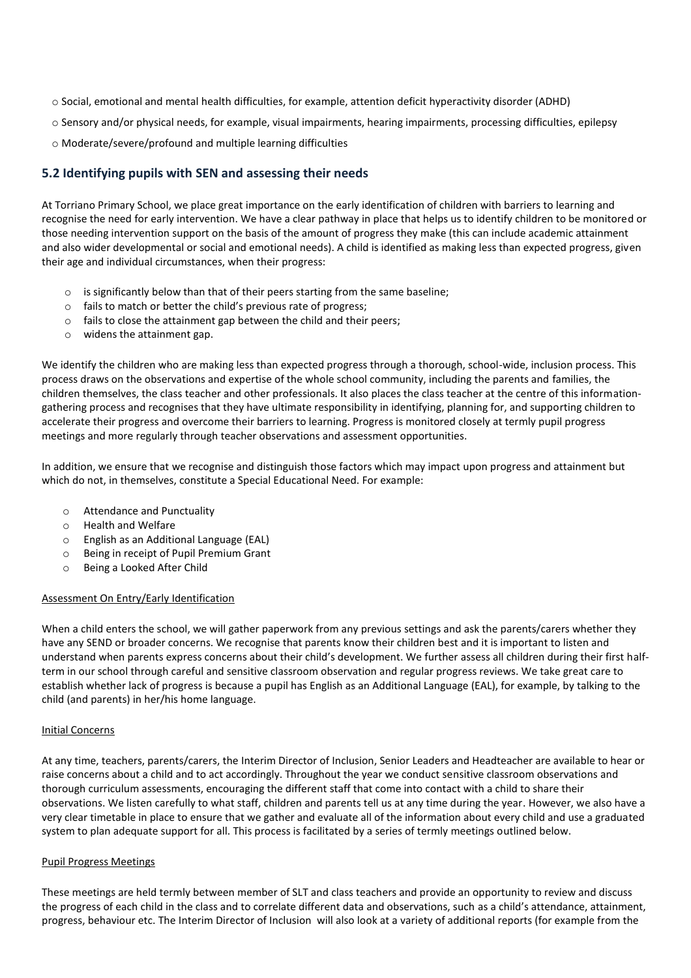- o Social, emotional and mental health difficulties, for example, attention deficit hyperactivity disorder (ADHD)
- o Sensory and/or physical needs, for example, visual impairments, hearing impairments, processing difficulties, epilepsy
- o Moderate/severe/profound and multiple learning difficulties

## **5.2 Identifying pupils with SEN and assessing their needs**

At Torriano Primary School, we place great importance on the early identification of children with barriers to learning and recognise the need for early intervention. We have a clear pathway in place that helps us to identify children to be monitored or those needing intervention support on the basis of the amount of progress they make (this can include academic attainment and also wider developmental or social and emotional needs). A child is identified as making less than expected progress, given their age and individual circumstances, when their progress:

- $\circ$  is significantly below than that of their peers starting from the same baseline;
- o fails to match or better the child's previous rate of progress;
- o fails to close the attainment gap between the child and their peers;
- o widens the attainment gap.

We identify the children who are making less than expected progress through a thorough, school-wide, inclusion process. This process draws on the observations and expertise of the whole school community, including the parents and families, the children themselves, the class teacher and other professionals. It also places the class teacher at the centre of this informationgathering process and recognises that they have ultimate responsibility in identifying, planning for, and supporting children to accelerate their progress and overcome their barriers to learning. Progress is monitored closely at termly pupil progress meetings and more regularly through teacher observations and assessment opportunities.

In addition, we ensure that we recognise and distinguish those factors which may impact upon progress and attainment but which do not, in themselves, constitute a Special Educational Need. For example:

- o Attendance and Punctuality
- o Health and Welfare
- o English as an Additional Language (EAL)
- o Being in receipt of Pupil Premium Grant
- o Being a Looked After Child

#### Assessment On Entry/Early Identification

When a child enters the school, we will gather paperwork from any previous settings and ask the parents/carers whether they have any SEND or broader concerns. We recognise that parents know their children best and it is important to listen and understand when parents express concerns about their child's development. We further assess all children during their first halfterm in our school through careful and sensitive classroom observation and regular progress reviews. We take great care to establish whether lack of progress is because a pupil has English as an Additional Language (EAL), for example, by talking to the child (and parents) in her/his home language.

#### Initial Concerns

At any time, teachers, parents/carers, the Interim Director of Inclusion, Senior Leaders and Headteacher are available to hear or raise concerns about a child and to act accordingly. Throughout the year we conduct sensitive classroom observations and thorough curriculum assessments, encouraging the different staff that come into contact with a child to share their observations. We listen carefully to what staff, children and parents tell us at any time during the year. However, we also have a very clear timetable in place to ensure that we gather and evaluate all of the information about every child and use a graduated system to plan adequate support for all. This process is facilitated by a series of termly meetings outlined below.

#### Pupil Progress Meetings

These meetings are held termly between member of SLT and class teachers and provide an opportunity to review and discuss the progress of each child in the class and to correlate different data and observations, such as a child's attendance, attainment, progress, behaviour etc. The Interim Director of Inclusion will also look at a variety of additional reports (for example from the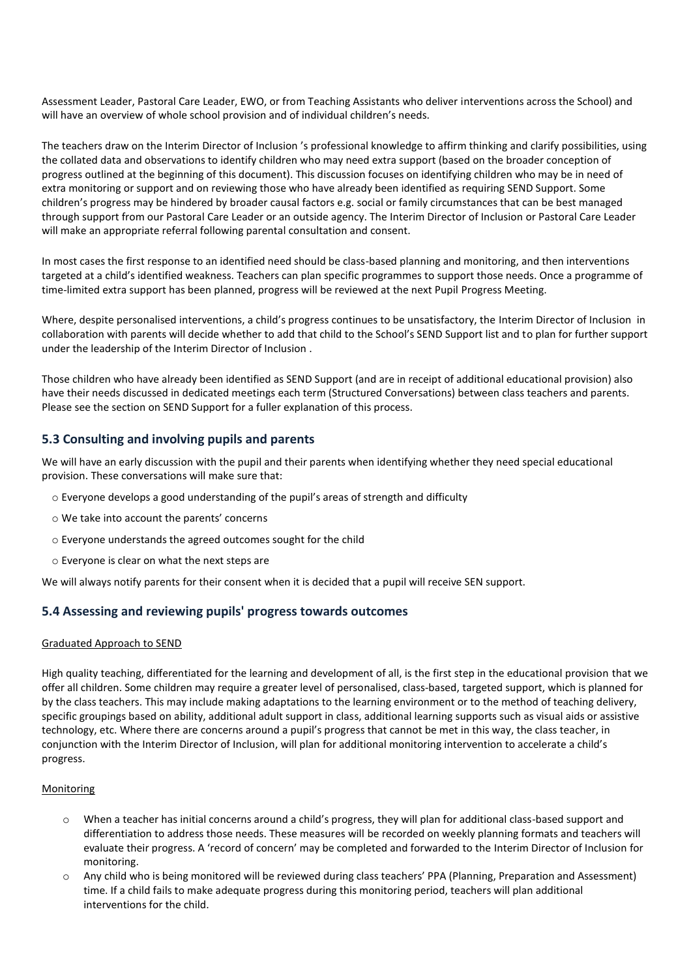Assessment Leader, Pastoral Care Leader, EWO, or from Teaching Assistants who deliver interventions across the School) and will have an overview of whole school provision and of individual children's needs.

The teachers draw on the Interim Director of Inclusion 's professional knowledge to affirm thinking and clarify possibilities, using the collated data and observations to identify children who may need extra support (based on the broader conception of progress outlined at the beginning of this document). This discussion focuses on identifying children who may be in need of extra monitoring or support and on reviewing those who have already been identified as requiring SEND Support. Some children's progress may be hindered by broader causal factors e.g. social or family circumstances that can be best managed through support from our Pastoral Care Leader or an outside agency. The Interim Director of Inclusion or Pastoral Care Leader will make an appropriate referral following parental consultation and consent.

In most cases the first response to an identified need should be class-based planning and monitoring, and then interventions targeted at a child's identified weakness. Teachers can plan specific programmes to support those needs. Once a programme of time-limited extra support has been planned, progress will be reviewed at the next Pupil Progress Meeting.

Where, despite personalised interventions, a child's progress continues to be unsatisfactory, the Interim Director of Inclusion in collaboration with parents will decide whether to add that child to the School's SEND Support list and to plan for further support under the leadership of the Interim Director of Inclusion .

Those children who have already been identified as SEND Support (and are in receipt of additional educational provision) also have their needs discussed in dedicated meetings each term (Structured Conversations) between class teachers and parents. Please see the section on SEND Support for a fuller explanation of this process.

## **5.3 Consulting and involving pupils and parents**

We will have an early discussion with the pupil and their parents when identifying whether they need special educational provision. These conversations will make sure that:

- o Everyone develops a good understanding of the pupil's areas of strength and difficulty
- o We take into account the parents' concerns
- o Everyone understands the agreed outcomes sought for the child
- o Everyone is clear on what the next steps are

We will always notify parents for their consent when it is decided that a pupil will receive SEN support.

## **5.4 Assessing and reviewing pupils' progress towards outcomes**

### Graduated Approach to SEND

High quality teaching, differentiated for the learning and development of all, is the first step in the educational provision that we offer all children. Some children may require a greater level of personalised, class-based, targeted support, which is planned for by the class teachers. This may include making adaptations to the learning environment or to the method of teaching delivery, specific groupings based on ability, additional adult support in class, additional learning supports such as visual aids or assistive technology, etc. Where there are concerns around a pupil's progress that cannot be met in this way, the class teacher, in conjunction with the Interim Director of Inclusion, will plan for additional monitoring intervention to accelerate a child's progress.

#### Monitoring

- o When a teacher has initial concerns around a child's progress, they will plan for additional class-based support and differentiation to address those needs. These measures will be recorded on weekly planning formats and teachers will evaluate their progress. A 'record of concern' may be completed and forwarded to the Interim Director of Inclusion for monitoring.
- Any child who is being monitored will be reviewed during class teachers' PPA (Planning, Preparation and Assessment) time. If a child fails to make adequate progress during this monitoring period, teachers will plan additional interventions for the child.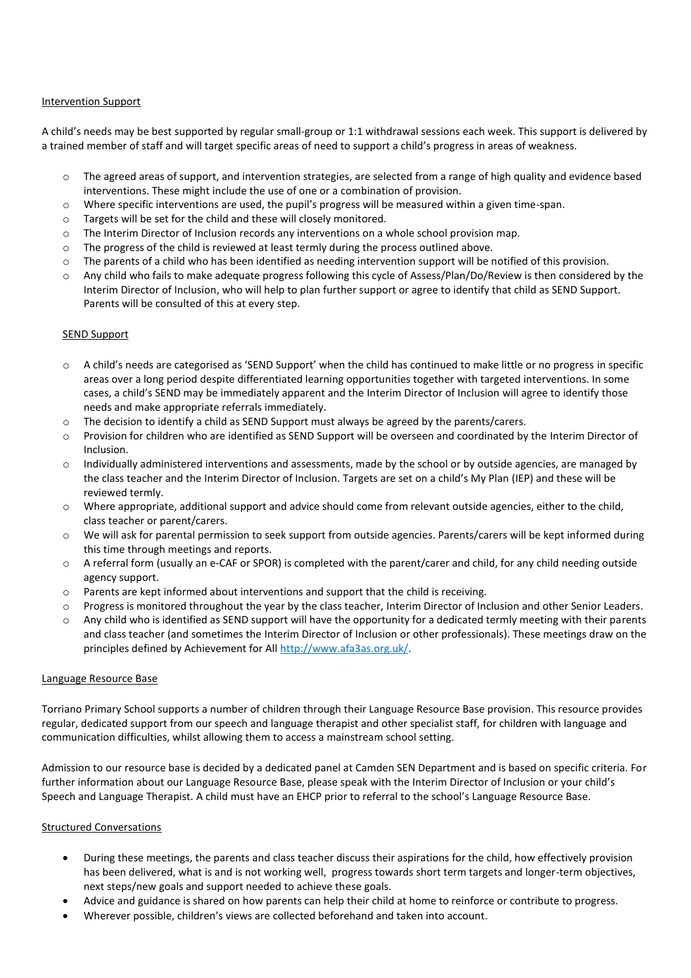### Intervention Support

A child's needs may be best supported by regular small-group or 1:1 withdrawal sessions each week. This support is delivered by a trained member of staff and will target specific areas of need to support a child's progress in areas of weakness.

- $\circ$  The agreed areas of support, and intervention strategies, are selected from a range of high quality and evidence based interventions. These might include the use of one or a combination of provision.
- o Where specific interventions are used, the pupil's progress will be measured within a given time-span.
- o Targets will be set for the child and these will closely monitored.
- o The Interim Director of Inclusion records any interventions on a whole school provision map.
- o The progress of the child is reviewed at least termly during the process outlined above.
- $\circ$  The parents of a child who has been identified as needing intervention support will be notified of this provision.
- $\circ$  Any child who fails to make adequate progress following this cycle of Assess/Plan/Do/Review is then considered by the Interim Director of Inclusion, who will help to plan further support or agree to identify that child as SEND Support. Parents will be consulted of this at every step.

### SEND Support

- $\circ$  A child's needs are categorised as 'SEND Support' when the child has continued to make little or no progress in specific areas over a long period despite differentiated learning opportunities together with targeted interventions. In some cases, a child's SEND may be immediately apparent and the Interim Director of Inclusion will agree to identify those needs and make appropriate referrals immediately.
- o The decision to identify a child as SEND Support must always be agreed by the parents/carers.
- Provision for children who are identified as SEND Support will be overseen and coordinated by the Interim Director of Inclusion.
- o Individually administered interventions and assessments, made by the school or by outside agencies, are managed by the class teacher and the Interim Director of Inclusion. Targets are set on a child's My Plan (IEP) and these will be reviewed termly.
- o Where appropriate, additional support and advice should come from relevant outside agencies, either to the child, class teacher or parent/carers.
- o We will ask for parental permission to seek support from outside agencies. Parents/carers will be kept informed during this time through meetings and reports.
- o A referral form (usually an e-CAF or SPOR) is completed with the parent/carer and child, for any child needing outside agency support.
- o Parents are kept informed about interventions and support that the child is receiving.
- $\circ$  Progress is monitored throughout the year by the class teacher, Interim Director of Inclusion and other Senior Leaders.
- $\circ$  Any child who is identified as SEND support will have the opportunity for a dedicated termly meeting with their parents and class teacher (and sometimes the Interim Director of Inclusion or other professionals). These meetings draw on the principles defined by Achievement for All [http://www.afa3as.org.uk/.](http://www.afa3as.org.uk/)

### Language Resource Base

Torriano Primary School supports a number of children through their Language Resource Base provision. This resource provides regular, dedicated support from our speech and language therapist and other specialist staff, for children with language and communication difficulties, whilst allowing them to access a mainstream school setting.

Admission to our resource base is decided by a dedicated panel at Camden SEN Department and is based on specific criteria. For further information about our Language Resource Base, please speak with the Interim Director of Inclusion or your child's Speech and Language Therapist. A child must have an EHCP prior to referral to the school's Language Resource Base.

### Structured Conversations

- During these meetings, the parents and class teacher discuss their aspirations for the child, how effectively provision has been delivered, what is and is not working well, progress towards short term targets and longer-term objectives, next steps/new goals and support needed to achieve these goals.
- Advice and guidance is shared on how parents can help their child at home to reinforce or contribute to progress.
- Wherever possible, children's views are collected beforehand and taken into account.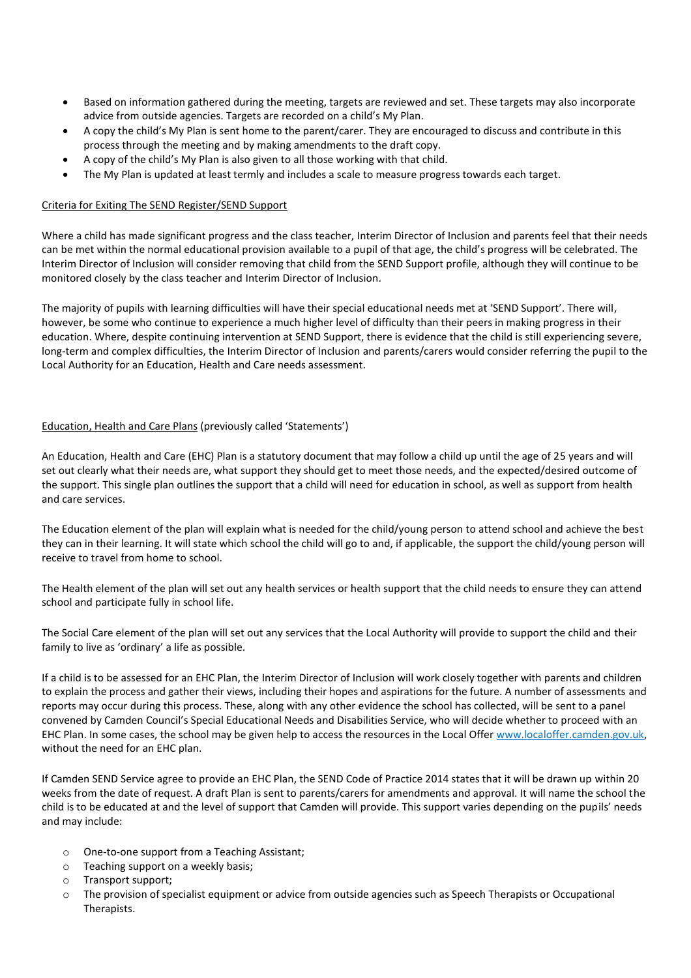- Based on information gathered during the meeting, targets are reviewed and set. These targets may also incorporate advice from outside agencies. Targets are recorded on a child's My Plan.
- A copy the child's My Plan is sent home to the parent/carer. They are encouraged to discuss and contribute in this process through the meeting and by making amendments to the draft copy.
- A copy of the child's My Plan is also given to all those working with that child.
- The My Plan is updated at least termly and includes a scale to measure progress towards each target.

#### Criteria for Exiting The SEND Register/SEND Support

Where a child has made significant progress and the class teacher, Interim Director of Inclusion and parents feel that their needs can be met within the normal educational provision available to a pupil of that age, the child's progress will be celebrated. The Interim Director of Inclusion will consider removing that child from the SEND Support profile, although they will continue to be monitored closely by the class teacher and Interim Director of Inclusion.

The majority of pupils with learning difficulties will have their special educational needs met at 'SEND Support'. There will, however, be some who continue to experience a much higher level of difficulty than their peers in making progress in their education. Where, despite continuing intervention at SEND Support, there is evidence that the child is still experiencing severe, long-term and complex difficulties, the Interim Director of Inclusion and parents/carers would consider referring the pupil to the Local Authority for an Education, Health and Care needs assessment.

### Education, Health and Care Plans (previously called 'Statements')

An Education, Health and Care (EHC) Plan is a statutory document that may follow a child up until the age of 25 years and will set out clearly what their needs are, what support they should get to meet those needs, and the expected/desired outcome of the support. This single plan outlines the support that a child will need for education in school, as well as support from health and care services.

The Education element of the plan will explain what is needed for the child/young person to attend school and achieve the best they can in their learning. It will state which school the child will go to and, if applicable, the support the child/young person will receive to travel from home to school.

The Health element of the plan will set out any health services or health support that the child needs to ensure they can attend school and participate fully in school life.

The Social Care element of the plan will set out any services that the Local Authority will provide to support the child and their family to live as 'ordinary' a life as possible.

If a child is to be assessed for an EHC Plan, the Interim Director of Inclusion will work closely together with parents and children to explain the process and gather their views, including their hopes and aspirations for the future. A number of assessments and reports may occur during this process. These, along with any other evidence the school has collected, will be sent to a panel convened by Camden Council's Special Educational Needs and Disabilities Service, who will decide whether to proceed with an EHC Plan. In some cases, the school may be given help to access the resources in the Local Offe[r www.localoffer.camden.gov.uk,](http://www.localoffer.camden.gov.uk/) without the need for an EHC plan.

If Camden SEND Service agree to provide an EHC Plan, the SEND Code of Practice 2014 states that it will be drawn up within 20 weeks from the date of request. A draft Plan is sent to parents/carers for amendments and approval. It will name the school the child is to be educated at and the level of support that Camden will provide. This support varies depending on the pupils' needs and may include:

- o One-to-one support from a Teaching Assistant;
- o Teaching support on a weekly basis;
- o Transport support;
- o The provision of specialist equipment or advice from outside agencies such as Speech Therapists or Occupational Therapists.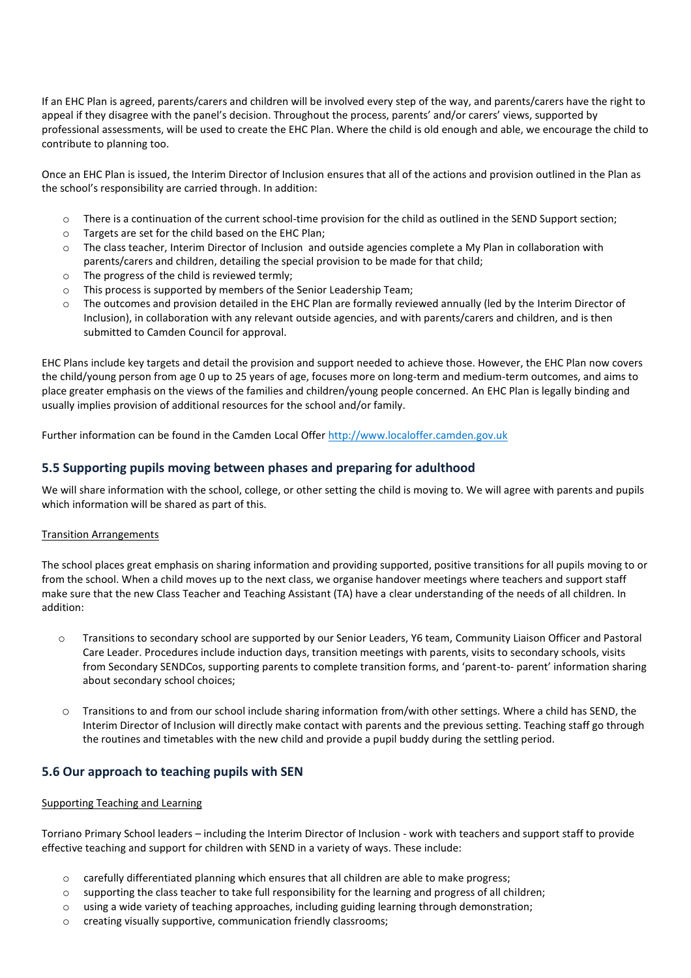If an EHC Plan is agreed, parents/carers and children will be involved every step of the way, and parents/carers have the right to appeal if they disagree with the panel's decision. Throughout the process, parents' and/or carers' views, supported by professional assessments, will be used to create the EHC Plan. Where the child is old enough and able, we encourage the child to contribute to planning too.

Once an EHC Plan is issued, the Interim Director of Inclusion ensures that all of the actions and provision outlined in the Plan as the school's responsibility are carried through. In addition:

- o There is a continuation of the current school-time provision for the child as outlined in the SEND Support section;
- o Targets are set for the child based on the EHC Plan;
- o The class teacher, Interim Director of Inclusion and outside agencies complete a My Plan in collaboration with parents/carers and children, detailing the special provision to be made for that child;
- o The progress of the child is reviewed termly;
- o This process is supported by members of the Senior Leadership Team;
- $\circ$  The outcomes and provision detailed in the EHC Plan are formally reviewed annually (led by the Interim Director of Inclusion), in collaboration with any relevant outside agencies, and with parents/carers and children, and is then submitted to Camden Council for approval.

EHC Plans include key targets and detail the provision and support needed to achieve those. However, the EHC Plan now covers the child/young person from age 0 up to 25 years of age, focuses more on long-term and medium-term outcomes, and aims to place greater emphasis on the views of the families and children/young people concerned. An EHC Plan is legally binding and usually implies provision of additional resources for the school and/or family.

Further information can be found in the Camden Local Offe[r http://www.localoffer.camden.gov.uk](http://www.localoffer.camden.gov.uk/)

## **5.5 Supporting pupils moving between phases and preparing for adulthood**

We will share information with the school, college, or other setting the child is moving to. We will agree with parents and pupils which information will be shared as part of this.

## Transition Arrangements

The school places great emphasis on sharing information and providing supported, positive transitions for all pupils moving to or from the school. When a child moves up to the next class, we organise handover meetings where teachers and support staff make sure that the new Class Teacher and Teaching Assistant (TA) have a clear understanding of the needs of all children. In addition:

- o Transitions to secondary school are supported by our Senior Leaders, Y6 team, Community Liaison Officer and Pastoral Care Leader. Procedures include induction days, transition meetings with parents, visits to secondary schools, visits from Secondary SENDCos, supporting parents to complete transition forms, and 'parent-to- parent' information sharing about secondary school choices;
- o Transitions to and from our school include sharing information from/with other settings. Where a child has SEND, the Interim Director of Inclusion will directly make contact with parents and the previous setting. Teaching staff go through the routines and timetables with the new child and provide a pupil buddy during the settling period.

## **5.6 Our approach to teaching pupils with SEN**

### Supporting Teaching and Learning

Torriano Primary School leaders – including the Interim Director of Inclusion - work with teachers and support staff to provide effective teaching and support for children with SEND in a variety of ways. These include:

- o carefully differentiated planning which ensures that all children are able to make progress;
- o supporting the class teacher to take full responsibility for the learning and progress of all children;
- o using a wide variety of teaching approaches, including guiding learning through demonstration;
- o creating visually supportive, communication friendly classrooms;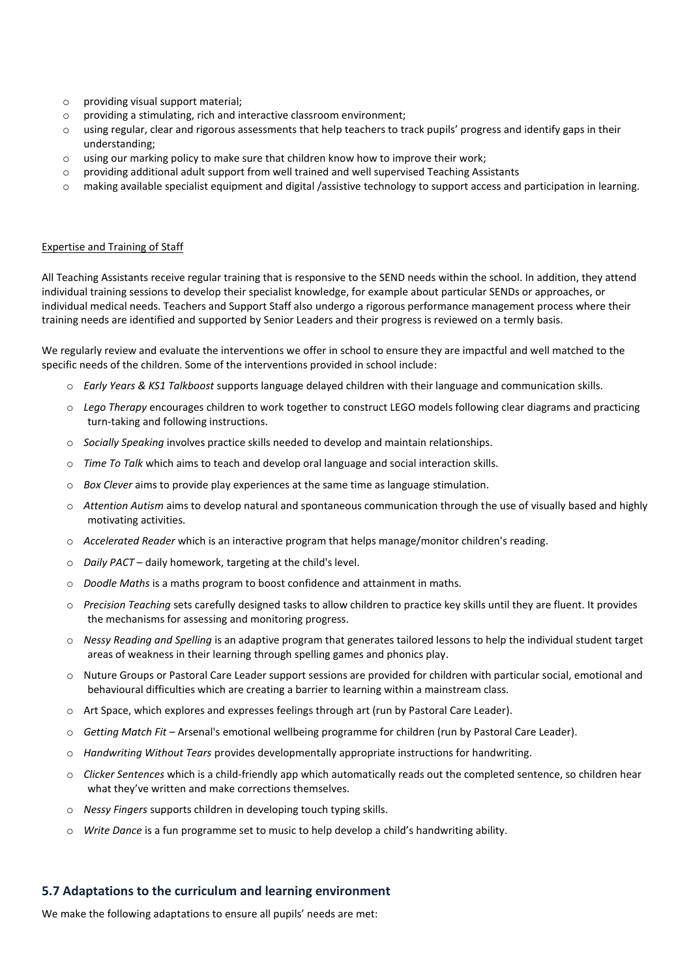- o providing visual support material;
- o providing a stimulating, rich and interactive classroom environment;
- o using regular, clear and rigorous assessments that help teachers to track pupils' progress and identify gaps in their understanding;
- o using our marking policy to make sure that children know how to improve their work;
- o providing additional adult support from well trained and well supervised Teaching Assistants
- $\circ$  making available specialist equipment and digital /assistive technology to support access and participation in learning.

#### Expertise and Training of Staff

All Teaching Assistants receive regular training that is responsive to the SEND needs within the school. In addition, they attend individual training sessions to develop their specialist knowledge, for example about particular SENDs or approaches, or individual medical needs. Teachers and Support Staff also undergo a rigorous performance management process where their training needs are identified and supported by Senior Leaders and their progress is reviewed on a termly basis.

We regularly review and evaluate the interventions we offer in school to ensure they are impactful and well matched to the specific needs of the children. Some of the interventions provided in school include:

- o *Early Years & KS1 Talkboost* supports language delayed children with their language and communication skills.
- o *Lego Therapy* encourages children to work together to construct LEGO models following clear diagrams and practicing turn-taking and following instructions.
- o *Socially Speaking* involves practice skills needed to develop and maintain relationships.
- o *Time To Talk* which aims to teach and develop oral language and social interaction skills.
- o *Box Clever* aims to provide play experiences at the same time as language stimulation.
- o *Attention Autism* aims to develop natural and spontaneous communication through the use of visually based and highly motivating activities.
- o *Accelerated Reader* which is an interactive program that helps manage/monitor children's reading.
- o *Daily PACT* daily homework, targeting at the child's level.
- o *Doodle Maths* is a maths program to boost confidence and attainment in maths.
- o *Precision Teaching* sets carefully designed tasks to allow children to practice key skills until they are fluent. It provides the mechanisms for assessing and monitoring progress.
- o *Nessy Reading and Spelling* is an adaptive program that generates tailored lessons to help the individual student target areas of weakness in their learning through spelling games and phonics play.
- o Nuture Groups or Pastoral Care Leader support sessions are provided for children with particular social, emotional and behavioural difficulties which are creating a barrier to learning within a mainstream class.
- o Art Space, which explores and expresses feelings through art (run by Pastoral Care Leader).
- o *Getting Match Fit* Arsenal's emotional wellbeing programme for children (run by Pastoral Care Leader).
- o *Handwriting Without Tears* provides developmentally appropriate instructions for handwriting.
- o *Clicker Sentences* which is a child-friendly app which automatically reads out the completed sentence, so children hear what they've written and make corrections themselves.
- o *Nessy Fingers* supports children in developing touch typing skills.
- o *Write Dance* is a fun programme set to music to help develop a child's handwriting ability.

## **5.7 Adaptations to the curriculum and learning environment**

We make the following adaptations to ensure all pupils' needs are met: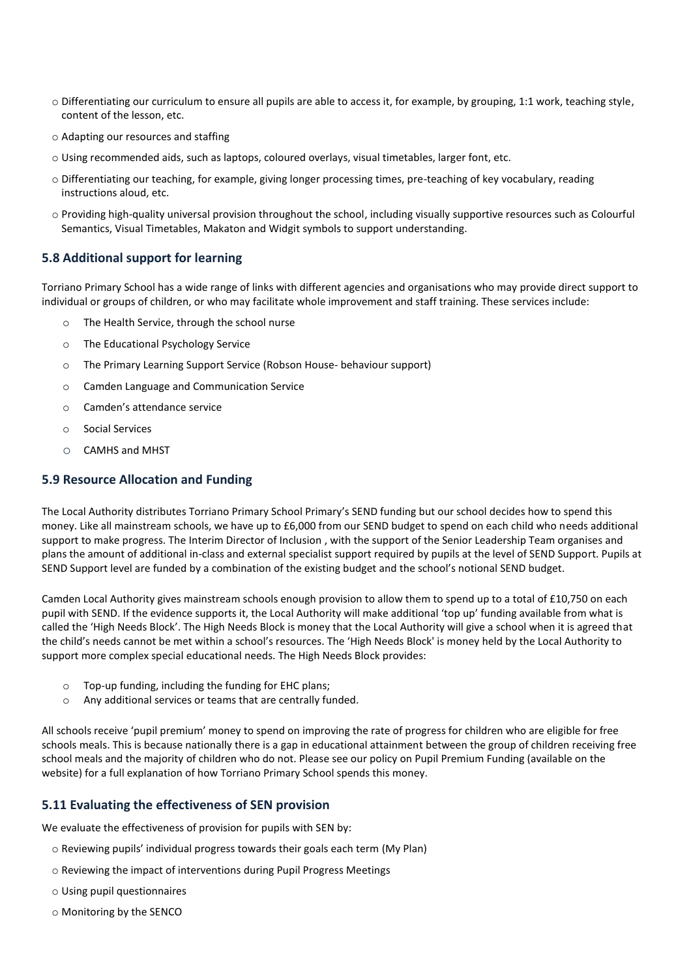- o Differentiating our curriculum to ensure all pupils are able to access it, for example, by grouping, 1:1 work, teaching style, content of the lesson, etc.
- o Adapting our resources and staffing
- o Using recommended aids, such as laptops, coloured overlays, visual timetables, larger font, etc.
- o Differentiating our teaching, for example, giving longer processing times, pre-teaching of key vocabulary, reading instructions aloud, etc.
- o Providing high-quality universal provision throughout the school, including visually supportive resources such as Colourful Semantics, Visual Timetables, Makaton and Widgit symbols to support understanding.

## **5.8 Additional support for learning**

Torriano Primary School has a wide range of links with different agencies and organisations who may provide direct support to individual or groups of children, or who may facilitate whole improvement and staff training. These services include:

- o The Health Service, through the school nurse
- o The Educational Psychology Service
- o The Primary Learning Support Service (Robson House- behaviour support)
- o Camden Language and Communication Service
- o Camden's attendance service
- o Social Services
- o CAMHS and MHST

## **5.9 Resource Allocation and Funding**

The Local Authority distributes Torriano Primary School Primary's SEND funding but our school decides how to spend this money. Like all mainstream schools, we have up to £6,000 from our SEND budget to spend on each child who needs additional support to make progress. The Interim Director of Inclusion , with the support of the Senior Leadership Team organises and plans the amount of additional in-class and external specialist support required by pupils at the level of SEND Support. Pupils at SEND Support level are funded by a combination of the existing budget and the school's notional SEND budget.

Camden Local Authority gives mainstream schools enough provision to allow them to spend up to a total of £10,750 on each pupil with SEND. If the evidence supports it, the Local Authority will make additional 'top up' funding available from what is called the 'High Needs Block'. The High Needs Block is money that the Local Authority will give a school when it is agreed that the child's needs cannot be met within a school's resources. The 'High Needs Block' is money held by the Local Authority to support more complex special educational needs. The High Needs Block provides:

- o Top-up funding, including the funding for EHC plans;
- o Any additional services or teams that are centrally funded.

All schools receive 'pupil premium' money to spend on improving the rate of progress for children who are eligible for free schools meals. This is because nationally there is a gap in educational attainment between the group of children receiving free school meals and the majority of children who do not. Please see our policy on Pupil Premium Funding (available on the website) for a full explanation of how Torriano Primary School spends this money.

## **5.11 Evaluating the effectiveness of SEN provision**

We evaluate the effectiveness of provision for pupils with SEN by:

- o Reviewing pupils' individual progress towards their goals each term (My Plan)
- o Reviewing the impact of interventions during Pupil Progress Meetings
- o Using pupil questionnaires
- o Monitoring by the SENCO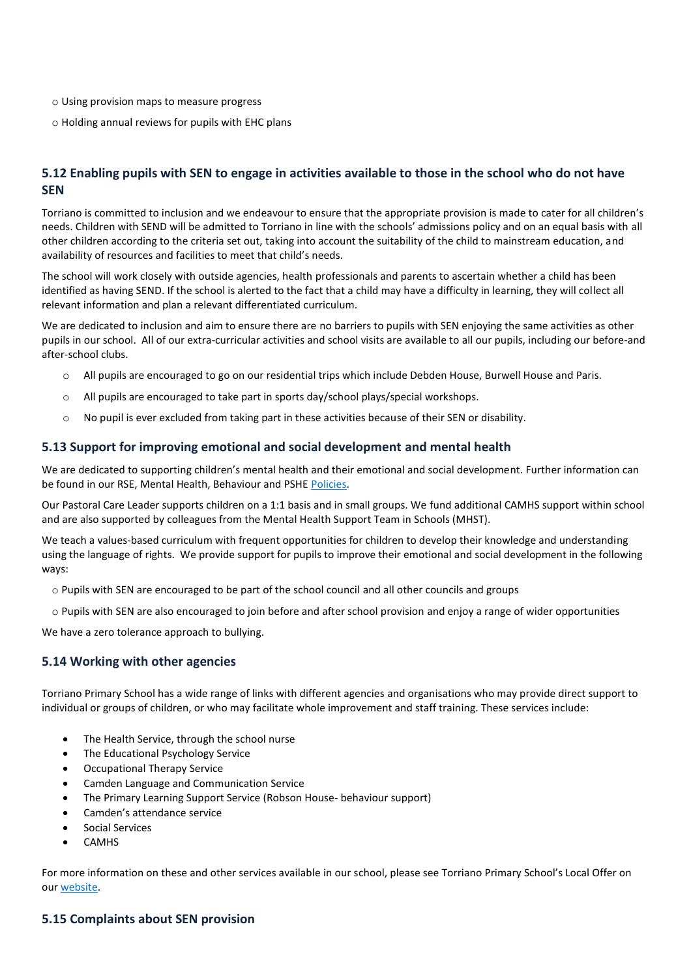- o Using provision maps to measure progress
- o Holding annual reviews for pupils with EHC plans

## **5.12 Enabling pupils with SEN to engage in activities available to those in the school who do not have SEN**

Torriano is committed to inclusion and we endeavour to ensure that the appropriate provision is made to cater for all children's needs. Children with SEND will be admitted to Torriano in line with the schools' admissions policy and on an equal basis with all other children according to the criteria set out, taking into account the suitability of the child to mainstream education, and availability of resources and facilities to meet that child's needs.

The school will work closely with outside agencies, health professionals and parents to ascertain whether a child has been identified as having SEND. If the school is alerted to the fact that a child may have a difficulty in learning, they will collect all relevant information and plan a relevant differentiated curriculum.

We are dedicated to inclusion and aim to ensure there are no barriers to pupils with SEN enjoying the same activities as other pupils in our school. All of our extra-curricular activities and school visits are available to all our pupils, including our before-and after-school clubs.

- o All pupils are encouraged to go on our residential trips which include Debden House, Burwell House and Paris.
- All pupils are encouraged to take part in sports day/school plays/special workshops.
- $\circ$  No pupil is ever excluded from taking part in these activities because of their SEN or disability.

### **5.13 Support for improving emotional and social development and mental health**

We are dedicated to supporting children's mental health and their emotional and social development. Further information can be found in our RSE, Mental Health, Behaviour and PSHE [Policies.](https://www.torriano.camden.sch.uk/school-info/school-policies/) 

Our Pastoral Care Leader supports children on a 1:1 basis and in small groups. We fund additional CAMHS support within school and are also supported by colleagues from the Mental Health Support Team in Schools (MHST).

We teach a values-based curriculum with frequent opportunities for children to develop their knowledge and understanding using the language of rights. We provide support for pupils to improve their emotional and social development in the following ways:

- o Pupils with SEN are encouraged to be part of the school council and all other councils and groups
- o Pupils with SEN are also encouraged to join before and after school provision and enjoy a range of wider opportunities

We have a zero tolerance approach to bullying.

## **5.14 Working with other agencies**

Torriano Primary School has a wide range of links with different agencies and organisations who may provide direct support to individual or groups of children, or who may facilitate whole improvement and staff training. These services include:

- The Health Service, through the school nurse
- The Educational Psychology Service
- Occupational Therapy Service
- Camden Language and Communication Service
- The Primary Learning Support Service (Robson House- behaviour support)
- Camden's attendance service
- Social Services
- CAMHS

For more information on these and other services available in our school, please see Torriano Primary School's Local Offer on ou[r website.](https://www.torriano.camden.sch.uk/)

### **5.15 Complaints about SEN provision**